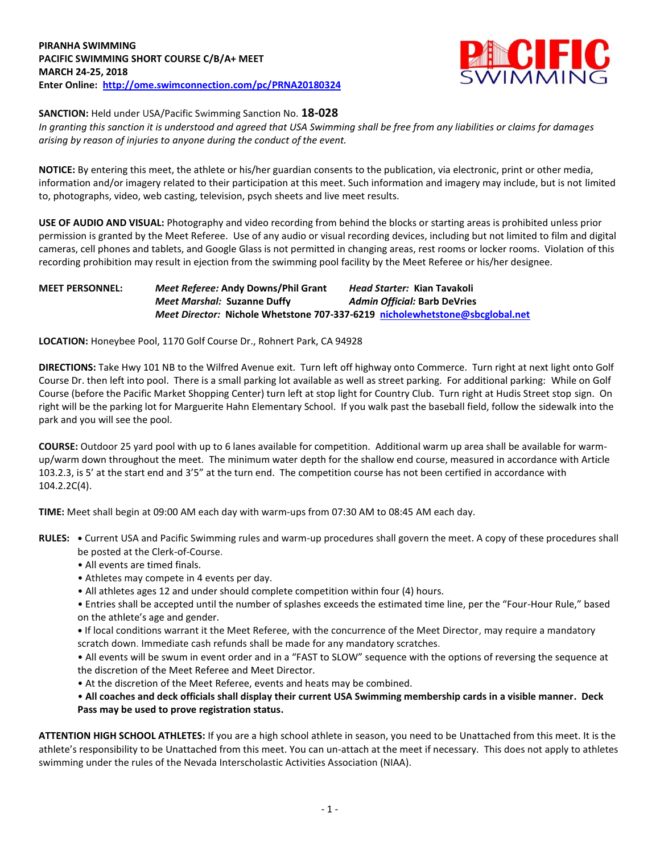

**SANCTION:** Held under USA/Pacific Swimming Sanction No. **18-028**

*In granting this sanction it is understood and agreed that USA Swimming shall be free from any liabilities or claims for damages arising by reason of injuries to anyone during the conduct of the event.*

**NOTICE:** By entering this meet, the athlete or his/her guardian consents to the publication, via electronic, print or other media, information and/or imagery related to their participation at this meet. Such information and imagery may include, but is not limited to, photographs, video, web casting, television, psych sheets and live meet results.

**USE OF AUDIO AND VISUAL:** Photography and video recording from behind the blocks or starting areas is prohibited unless prior permission is granted by the Meet Referee. Use of any audio or visual recording devices, including but not limited to film and digital cameras, cell phones and tablets, and Google Glass is not permitted in changing areas, rest rooms or locker rooms. Violation of this recording prohibition may result in ejection from the swimming pool facility by the Meet Referee or his/her designee.

## **MEET PERSONNEL:** *Meet Referee:* **Andy Downs/Phil Grant** *Head Starter:* **Kian Tavakoli** *Meet Marshal:* **Suzanne Duffy** *Admin Official:* **Barb DeVries** *Meet Director:* **Nichole Whetstone 707-337-6219 [nicholewhetstone@sbcglobal.net](mailto:nicholewhetstone@sbcglobal.net)**

**LOCATION:** Honeybee Pool, 1170 Golf Course Dr., Rohnert Park, CA 94928

**DIRECTIONS:** Take Hwy 101 NB to the Wilfred Avenue exit. Turn left off highway onto Commerce. Turn right at next light onto Golf Course Dr. then left into pool. There is a small parking lot available as well as street parking. For additional parking: While on Golf Course (before the Pacific Market Shopping Center) turn left at stop light for Country Club. Turn right at Hudis Street stop sign. On right will be the parking lot for Marguerite Hahn Elementary School. If you walk past the baseball field, follow the sidewalk into the park and you will see the pool.

**COURSE:** Outdoor 25 yard pool with up to 6 lanes available for competition.Additional warm up area shall be available for warmup/warm down throughout the meet. The minimum water depth for the shallow end course, measured in accordance with Article 103.2.3, is 5' at the start end and 3'5" at the turn end. The competition course has not been certified in accordance with 104.2.2C(4).

**TIME:** Meet shall begin at 09:00 AM each day with warm-ups from 07:30 AM to 08:45 AM each day.

- **RULES: •** Current USA and Pacific Swimming rules and warm-up procedures shall govern the meet. A copy of these procedures shall be posted at the Clerk-of-Course.
	- All events are timed finals.
	- Athletes may compete in 4 events per day.
	- All athletes ages 12 and under should complete competition within four (4) hours.
	- Entries shall be accepted until the number of splashes exceeds the estimated time line, per the "Four-Hour Rule," based on the athlete's age and gender.
	- **•** If local conditions warrant it the Meet Referee, with the concurrence of the Meet Director, may require a mandatory scratch down. Immediate cash refunds shall be made for any mandatory scratches.

• All events will be swum in event order and in a "FAST to SLOW" sequence with the options of reversing the sequence at the discretion of the Meet Referee and Meet Director.

• At the discretion of the Meet Referee, events and heats may be combined.

## • **All coaches and deck officials shall display their current USA Swimming membership cards in a visible manner. Deck Pass may be used to prove registration status.**

**ATTENTION HIGH SCHOOL ATHLETES:** If you are a high school athlete in season, you need to be Unattached from this meet. It is the athlete's responsibility to be Unattached from this meet. You can un-attach at the meet if necessary. This does not apply to athletes swimming under the rules of the Nevada Interscholastic Activities Association (NIAA).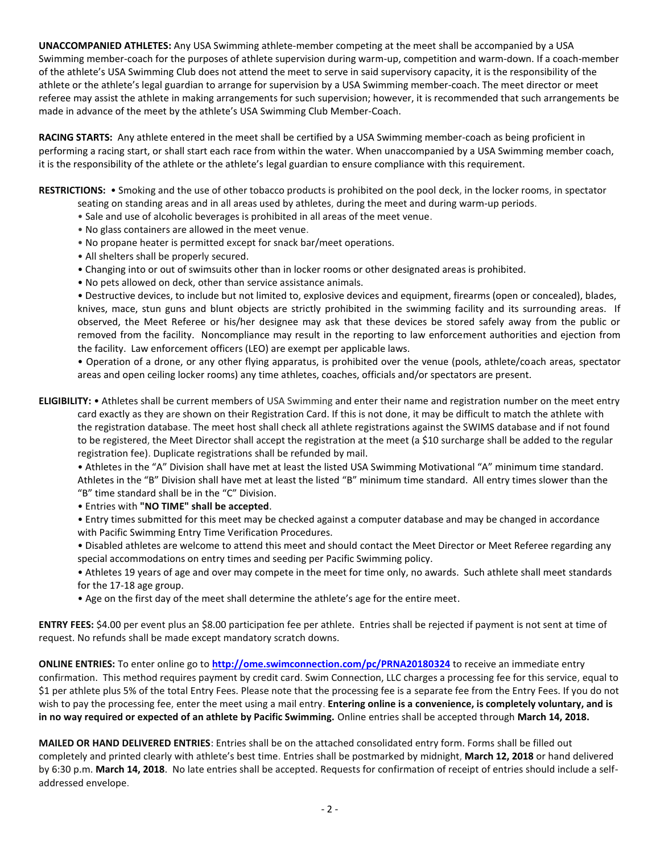**UNACCOMPANIED ATHLETES:** Any USA Swimming athlete-member competing at the meet shall be accompanied by a USA Swimming member-coach for the purposes of athlete supervision during warm-up, competition and warm-down. If a coach-member of the athlete's USA Swimming Club does not attend the meet to serve in said supervisory capacity, it is the responsibility of the athlete or the athlete's legal guardian to arrange for supervision by a USA Swimming member-coach. The meet director or meet referee may assist the athlete in making arrangements for such supervision; however, it is recommended that such arrangements be made in advance of the meet by the athlete's USA Swimming Club Member-Coach.

**RACING STARTS:** Any athlete entered in the meet shall be certified by a USA Swimming member-coach as being proficient in performing a racing start, or shall start each race from within the water. When unaccompanied by a USA Swimming member coach, it is the responsibility of the athlete or the athlete's legal guardian to ensure compliance with this requirement.

**RESTRICTIONS:** • Smoking and the use of other tobacco products is prohibited on the pool deck, in the locker rooms, in spectator

- seating on standing areas and in all areas used by athletes, during the meet and during warm-up periods.
- Sale and use of alcoholic beverages is prohibited in all areas of the meet venue.
- No glass containers are allowed in the meet venue.
- No propane heater is permitted except for snack bar/meet operations.
- All shelters shall be properly secured.
- Changing into or out of swimsuits other than in locker rooms or other designated areas is prohibited.
- No pets allowed on deck, other than service assistance animals.

• Destructive devices, to include but not limited to, explosive devices and equipment, firearms (open or concealed), blades, knives, mace, stun guns and blunt objects are strictly prohibited in the swimming facility and its surrounding areas. If observed, the Meet Referee or his/her designee may ask that these devices be stored safely away from the public or removed from the facility. Noncompliance may result in the reporting to law enforcement authorities and ejection from the facility. Law enforcement officers (LEO) are exempt per applicable laws.

• Operation of a drone, or any other flying apparatus, is prohibited over the venue (pools, athlete/coach areas, spectator areas and open ceiling locker rooms) any time athletes, coaches, officials and/or spectators are present.

**ELIGIBILITY:** • Athletes shall be current members of USA Swimming and enter their name and registration number on the meet entry card exactly as they are shown on their Registration Card. If this is not done, it may be difficult to match the athlete with the registration database. The meet host shall check all athlete registrations against the SWIMS database and if not found to be registered, the Meet Director shall accept the registration at the meet (a \$10 surcharge shall be added to the regular registration fee). Duplicate registrations shall be refunded by mail.

• Athletes in the "A" Division shall have met at least the listed USA Swimming Motivational "A" minimum time standard. Athletes in the "B" Division shall have met at least the listed "B" minimum time standard. All entry times slower than the "B" time standard shall be in the "C" Division.

• Entries with **"NO TIME" shall be accepted**.

• Entry times submitted for this meet may be checked against a computer database and may be changed in accordance with Pacific Swimming Entry Time Verification Procedures.

• Disabled athletes are welcome to attend this meet and should contact the Meet Director or Meet Referee regarding any special accommodations on entry times and seeding per Pacific Swimming policy.

• Athletes 19 years of age and over may compete in the meet for time only, no awards. Such athlete shall meet standards for the 17-18 age group.

• Age on the first day of the meet shall determine the athlete's age for the entire meet.

**ENTRY FEES:** \$4.00 per event plus an \$8.00 participation fee per athlete. Entries shall be rejected if payment is not sent at time of request. No refunds shall be made except mandatory scratch downs.

**ONLINE ENTRIES:** To enter online go to **<http://ome.swimconnection.com/pc/PRNA20180324>** to receive an immediate entry confirmation. This method requires payment by credit card. Swim Connection, LLC charges a processing fee for this service, equal to \$1 per athlete plus 5% of the total Entry Fees. Please note that the processing fee is a separate fee from the Entry Fees. If you do not wish to pay the processing fee, enter the meet using a mail entry. **Entering online is a convenience, is completely voluntary, and is in no way required or expected of an athlete by Pacific Swimming.** Online entries shall be accepted through **March 14, 2018.**

**MAILED OR HAND DELIVERED ENTRIES**: Entries shall be on the attached consolidated entry form. Forms shall be filled out completely and printed clearly with athlete's best time. Entries shall be postmarked by midnight, **March 12, 2018** or hand delivered by 6:30 p.m. **March 14, 2018**. No late entries shall be accepted. Requests for confirmation of receipt of entries should include a selfaddressed envelope.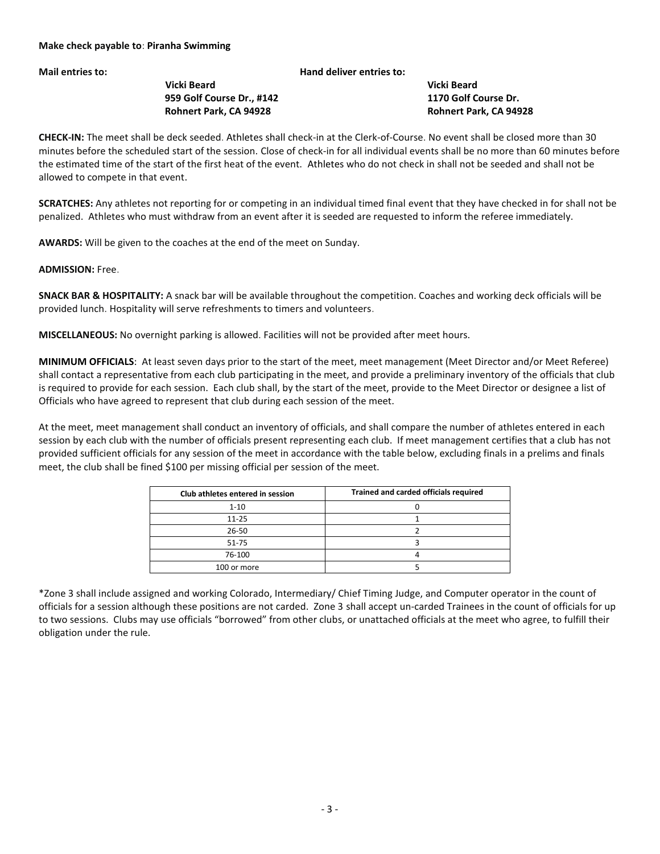## **Mail entries to: Hand deliver entries to:**

 **Vicki Beard Vicki Beard 959 Golf Course Dr., #142 1170 Golf Course Dr. Rohnert Park, CA 94928 Rohnert Park, CA 94928**

**CHECK-IN:** The meet shall be deck seeded. Athletes shall check-in at the Clerk-of-Course. No event shall be closed more than 30 minutes before the scheduled start of the session. Close of check-in for all individual events shall be no more than 60 minutes before the estimated time of the start of the first heat of the event. Athletes who do not check in shall not be seeded and shall not be allowed to compete in that event.

**SCRATCHES:** Any athletes not reporting for or competing in an individual timed final event that they have checked in for shall not be penalized. Athletes who must withdraw from an event after it is seeded are requested to inform the referee immediately.

**AWARDS:** Will be given to the coaches at the end of the meet on Sunday.

**ADMISSION:** Free.

**SNACK BAR & HOSPITALITY:** A snack bar will be available throughout the competition. Coaches and working deck officials will be provided lunch. Hospitality will serve refreshments to timers and volunteers.

**MISCELLANEOUS:** No overnight parking is allowed. Facilities will not be provided after meet hours.

**MINIMUM OFFICIALS**: At least seven days prior to the start of the meet, meet management (Meet Director and/or Meet Referee) shall contact a representative from each club participating in the meet, and provide a preliminary inventory of the officials that club is required to provide for each session. Each club shall, by the start of the meet, provide to the Meet Director or designee a list of Officials who have agreed to represent that club during each session of the meet.

At the meet, meet management shall conduct an inventory of officials, and shall compare the number of athletes entered in each session by each club with the number of officials present representing each club. If meet management certifies that a club has not provided sufficient officials for any session of the meet in accordance with the table below, excluding finals in a prelims and finals meet, the club shall be fined \$100 per missing official per session of the meet.

| Club athletes entered in session | Trained and carded officials required |
|----------------------------------|---------------------------------------|
| $1 - 10$                         |                                       |
| $11 - 25$                        |                                       |
| 26-50                            |                                       |
| 51-75                            |                                       |
| 76-100                           |                                       |
| 100 or more                      |                                       |

\*Zone 3 shall include assigned and working Colorado, Intermediary/ Chief Timing Judge, and Computer operator in the count of officials for a session although these positions are not carded. Zone 3 shall accept un-carded Trainees in the count of officials for up to two sessions. Clubs may use officials "borrowed" from other clubs, or unattached officials at the meet who agree, to fulfill their obligation under the rule.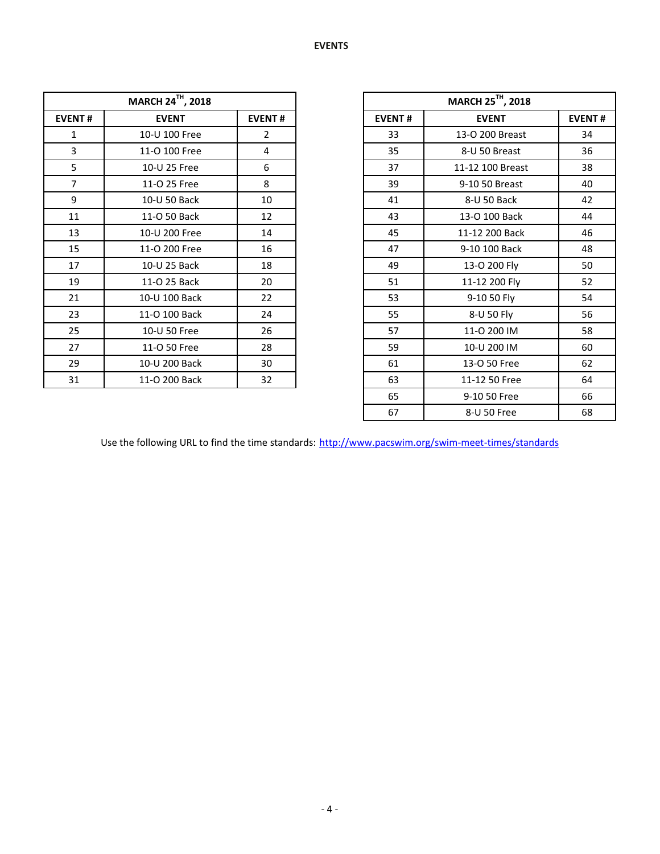| MARCH 24TH, 2018 |               |               |  |  |  |  |  |
|------------------|---------------|---------------|--|--|--|--|--|
| <b>EVENT#</b>    | <b>EVENT</b>  | <b>EVENT#</b> |  |  |  |  |  |
| 1                | 10-U 100 Free | 2             |  |  |  |  |  |
| 3                | 11-O 100 Free | 4             |  |  |  |  |  |
| 5                | 10-U 25 Free  | 6             |  |  |  |  |  |
| 7                | 11-O 25 Free  | 8             |  |  |  |  |  |
| 9                | 10-U 50 Back  | 10            |  |  |  |  |  |
| 11               | 11-O 50 Back  | 12            |  |  |  |  |  |
| 13               | 10-U 200 Free | 14            |  |  |  |  |  |
| 15               | 11-O 200 Free | 16            |  |  |  |  |  |
| 17               | 10-U 25 Back  | 18            |  |  |  |  |  |
| 19               | 11-O 25 Back  | 20            |  |  |  |  |  |
| 21               | 10-U 100 Back | 22            |  |  |  |  |  |
| 23               | 11-O 100 Back | 24            |  |  |  |  |  |
| 25               | 10-U 50 Free  | 26            |  |  |  |  |  |
| 27               | 11-O 50 Free  | 28            |  |  |  |  |  |
| 29               | 10-U 200 Back | 30            |  |  |  |  |  |
| 31               | 11-O 200 Back | 32            |  |  |  |  |  |

|                | <b>MARCH 24TH, 2018</b> |                |               | MARCH 25 <sup>TH</sup> , 2018 |               |
|----------------|-------------------------|----------------|---------------|-------------------------------|---------------|
| <b>EVENT#</b>  | <b>EVENT</b>            | <b>EVENT#</b>  | <b>EVENT#</b> | <b>EVENT</b>                  | <b>EVENT#</b> |
| $\mathbf{1}$   | 10-U 100 Free           | $\overline{2}$ | 33            | 13-O 200 Breast               | 34            |
| 3              | 11-O 100 Free           | 4              | 35            | 8-U 50 Breast                 | 36            |
| 5              | 10-U 25 Free            | 6              | 37            | 11-12 100 Breast              | 38            |
| $\overline{7}$ | 11-O 25 Free            | 8              | 39            | 9-10 50 Breast                | 40            |
| 9              | 10-U 50 Back            | 10             | 41            | 8-U 50 Back                   | 42            |
| 11             | 11-O 50 Back            | 12             | 43            | 13-O 100 Back                 | 44            |
| 13             | 10-U 200 Free           | 14             | 45            | 11-12 200 Back                | 46            |
| 15             | 11-O 200 Free           | 16             | 47            | 9-10 100 Back                 | 48            |
| 17             | 10-U 25 Back            | 18             | 49            | 13-O 200 Fly                  | 50            |
| 19             | 11-O 25 Back            | 20             | 51            | 11-12 200 Fly                 | 52            |
| 21             | 10-U 100 Back           | 22             | 53            | 9-10 50 Fly                   | 54            |
| 23             | 11-O 100 Back           | 24             | 55            | 8-U 50 Fly                    | 56            |
| 25             | 10-U 50 Free            | 26             | 57            | 11-0 200 IM                   | 58            |
| 27             | 11-O 50 Free            | 28             | 59            | 10-U 200 IM                   | 60            |
| 29             | 10-U 200 Back           | 30             | 61            | 13-O 50 Free                  | 62            |
| 31             | 11-O 200 Back           | 32             | 63            | 11-12 50 Free                 | 64            |
|                |                         |                | 65            | 9-10 50 Free                  | 66            |
|                |                         |                | 67            | 8-U 50 Free                   | 68            |

Use the following URL to find the time standards: <http://www.pacswim.org/swim-meet-times/standards>